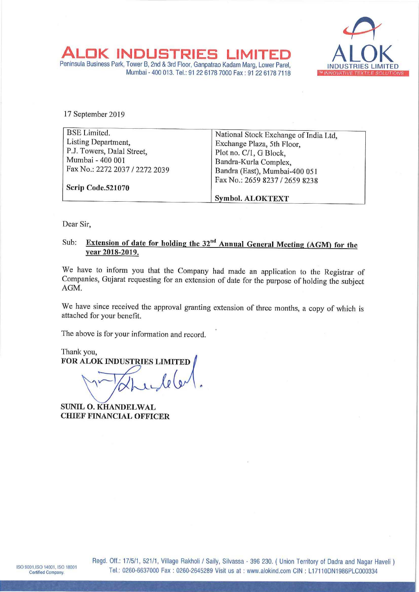

ALOK<br>Peninsula Business DK INDUSTRIES LIMITED ALOK<br>Business Park, Tower B, 2nd & 3rd Floor, Ganpatrao Kadam Marg, Lower Parel, INDUSTRIES LIMITE IK INDUSTRIES Mumbai - 400 013. Tel.: 91 22 6178 7000 Fax : 91 22 6178 7118 WEBLING WARD THAT IN EXTILE SOLUTIONS

17 September 2019

| <b>BSE</b> Limited.            | National Stock Exchange of India Ltd, |
|--------------------------------|---------------------------------------|
| Listing Department,            | Exchange Plaza, 5th Floor,            |
| P.J. Towers, Dalal Street,     | Plot no. C/1, G Block,                |
| Mumbai - 400 001               | Bandra-Kurla Complex,                 |
| Fax No.: 2272 2037 / 2272 2039 | Bandra (East), Mumbai-400 051         |
|                                | Fax No.: 2659 8237 / 2659 8238        |
| Scrip Code.521070              |                                       |
|                                | <b>Symbol. ALOKTEXT</b>               |

Dear Sir,

# Sub: Extension of date for holding the  $32<sup>nd</sup>$  Annual General Meeting (AGM) for the year 2018—2019.

We have to inform you that the Company had made an application to the Registrar of Companies, Gujarat requesting for an extension of date for the purpose of holding the subject AGM.

We have since received the approval granting extension of three months, a copy of which is attached for your benefit.

The above is for your information and record.

Thank you, FOR ALOK INDUSTRIES LIMITED  $\text{Le}(v')$ .

SUNIL O. KHANDELWAL CHIEF FINANCIAL OFFICER